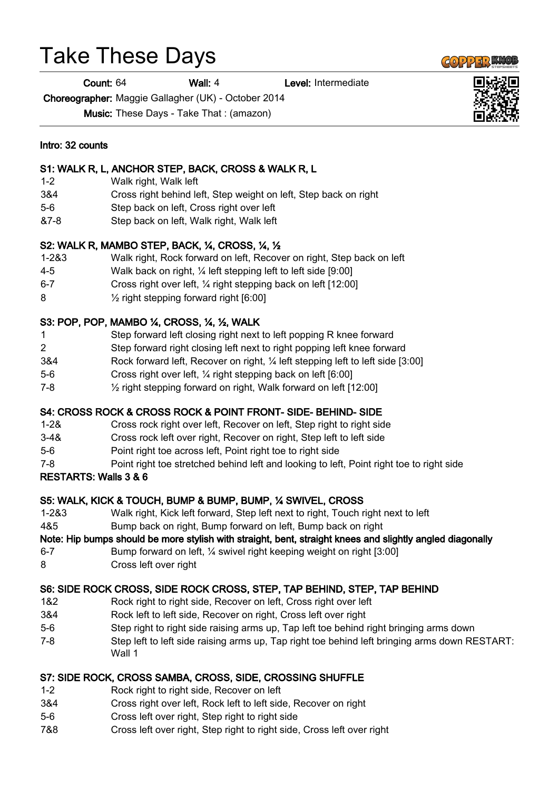# Take These Days

Count: 64 Wall: 4 Level: Intermediate

Choreographer: Maggie Gallagher (UK) - October 2014

Music: These Days - Take That : (amazon)

#### Intro: 32 counts

#### S1: WALK R, L, ANCHOR STEP, BACK, CROSS & WALK R, L

- 1-2 Walk right, Walk left
- 3&4 Cross right behind left, Step weight on left, Step back on right
- 5-6 Step back on left, Cross right over left
- &7-8 Step back on left, Walk right, Walk left

#### S2: WALK R, MAMBO STEP, BACK, ¼, CROSS, ¼, ½

- 1-2&3 Walk right, Rock forward on left, Recover on right, Step back on left
- 4-5 Walk back on right, ¼ left stepping left to left side [9:00]
- 6-7 Cross right over left, ¼ right stepping back on left [12:00]
- 8 ½ right stepping forward right [6:00]

#### S3: POP, POP, MAMBO ¼, CROSS, ¼, ½, WALK

- 1 Step forward left closing right next to left popping R knee forward
- 2 Step forward right closing left next to right popping left knee forward
- 3&4 Rock forward left, Recover on right, ¼ left stepping left to left side [3:00]
- 5-6 Cross right over left, ¼ right stepping back on left [6:00]
- 7-8 ½ right stepping forward on right, Walk forward on left [12:00]

#### S4: CROSS ROCK & CROSS ROCK & POINT FRONT- SIDE- BEHIND- SIDE

- 1-2& Cross rock right over left, Recover on left, Step right to right side
- 3-4& Cross rock left over right, Recover on right, Step left to left side
- 5-6 Point right toe across left, Point right toe to right side
- 7-8 Point right toe stretched behind left and looking to left, Point right toe to right side

#### RESTARTS: Walls 3 & 6

#### S5: WALK, KICK & TOUCH, BUMP & BUMP, BUMP, ¼ SWIVEL, CROSS

- 1-2&3 Walk right, Kick left forward, Step left next to right, Touch right next to left
- 4&5 Bump back on right, Bump forward on left, Bump back on right

#### Note: Hip bumps should be more stylish with straight, bent, straight knees and slightly angled diagonally

6-7 Bump forward on left, ¼ swivel right keeping weight on right [3:00] 8 Cross left over right

## S6: SIDE ROCK CROSS, SIDE ROCK CROSS, STEP, TAP BEHIND, STEP, TAP BEHIND

- 1&2 Rock right to right side, Recover on left, Cross right over left
- 3&4 Rock left to left side, Recover on right, Cross left over right
- 5-6 Step right to right side raising arms up, Tap left toe behind right bringing arms down
- 7-8 Step left to left side raising arms up, Tap right toe behind left bringing arms down RESTART: Wall 1

### S7: SIDE ROCK, CROSS SAMBA, CROSS, SIDE, CROSSING SHUFFLE

- 1-2 Rock right to right side, Recover on left
- 3&4 Cross right over left, Rock left to left side, Recover on right
- 5-6 Cross left over right, Step right to right side
- 7&8 Cross left over right, Step right to right side, Cross left over right